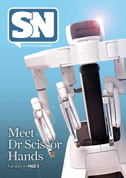

Staff Newsletter **August 2017**

da Vinci

 $\overline{2}$ 

3

# Meet Dr Scissor Hands

Full story on **PAGE 3**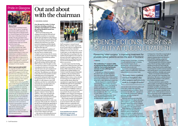#### **JOHN BROWN, CHAIRMAN**

**Over the past few weeks, I've been kept busy attending a number of meetings concerning how we deliver the national Health & Social Care Delivery Plan.** 

That involved discussions with colleagues from both the NHS and local authorities around how we can ensure that the aims and objectives of the Delivery Plan can be achieved across Scotland. This work is progressing well and I expect you will hear more about how you can get involved in designing and delivering the changes required to integrate health and social care later this year.

If we are to achieve our ambition of delivering better health and better care at the same time as creating a better workplace and ensuring value for money, we all need to play our part in supporting the creation of more joined up, patientcentred services.

Jane Grant and I also spent some time this month meeting with local MPs and MSPs to listen to their thoughts on what we need to do to improve our services and I was pleased to hear how much they value the hard work and commitment of everyone working in Greater Glasgow and Clyde. The politicians were also keen to hear about how Jane and the executive leadership team are developing their proposals for taking the health and social care agenda forward. Over the coming months, we will continue to meet with politicians and other key stakeholders to ensure they have an opportunity to be involved in developing the plans to improve our services.

A highlight of last month was my attendance at the presentation of the Glasgow Volunteer Charter Mark to NHSGGC. This event was held in the Glasgow Concert Hall and the Health Board was also presented with an award recognising the work of the team of volunteers based at the QEUH. At the event, I met some of the people who volunteer at the QEUH and welcomed the opportunity to thank them on behalf of the Board for the great work they do to support our patients. I'd like to take this opportunity to extend those thanks to everyone that volunteers across Greater Glasgow and Clyde.

I also spent an interesting afternoon at the GRI, where I attended the Medical



Staff Association's Annual General Meeting. This was another opportunity for me to meet with our consultants and junior doctors and hear what their ambitions were for acute services. As you would expect, we also talked about some of the things that were getting in the way of delivering the high level of care that we all want to provide to patients and I was pleased to hear how willing this group is to be involved in finding better ways to deliver our services.

As usual, I spent some time hosting visits from the Cabinet Secretary and other Scottish Government Ministers. Shona Robison MSP visited the sites of the new Gorbals and Woodside Health & Care Centres to mark the progress being made to add these to the growing list of new buildings in the Board's area. With the addition of these centres, we have already invested £115m in new health and care centres and this clearly reflects the commitment to supporting the integration of health and social care in communities across Greater Glasgow and Clyde.

I then attended another great example of investing in our buildings to improve the service that our patients receive when I was invited to the press launch of the McMillan Cancer Support's development of the front entrance of the Beatson West of Scotland Cancer Centre, pictured above.

This is being extended and refurbished over the next six months. Macmillan's £2.2m investment will create a larger, brighter and more comfortable area that acts as a support hub and provides space for patients and families to spend time together.

**If you would like me to visit your department or ward, email: staff.comms@ggc.scot.nhs.uk**

# Out and about with the chairman

# Pride in Glasgow



#### **What is Pride?**

Pride Glasgow is Scotland's largest Lesbian, Gay, Bi-sexual, Transgender and Intersex (LGBTI) celebration. The Festival takes place at Glasgow Green on 19 and 20 August with the site open from noon on Saturday and 1pm on Sunday. This year, the theme is the importance of LGBTI families, whether biological or for those who have created families made up of friends and other loved ones.

# **ISCIENCE FICTION SURGERY IS A** REALITY AT QUEEN ELIZABETH

Though the emphasis is on fun, there is a serious side. LGBTI people still experience persecution and discrimination. There are countries where being in a same-sex relationship is considered a serious crime and in a few, it's punishable by death. Pride offers an opportunity for LGBTI people and straight friends and family to join together in a place of safety to celebrate achievements and campaign for further equality.

#### **What's it got to do with the NHS?**

It's important the NHS is visible at Pride. Stonewall's *Unhealthy Attitudes* report (2015) suggests the NHS still has some way to go before it can claim to be truly inclusive of LGBTI people. The report showed 24 per cent of staff had heard colleagues make negative comments about LGB people.

NHSGGC will be celebrating its fifth year at Pride Glasgow by taking time to chat to festival goers about the range of services available and capturing people's experiences of using them. NHSGGC's Steve Retson Project will promote its specialist sexual health service for gay, bi-sexual and men who have sex with men. For the third year, this will include free and confidential HIV testing from a specialist unit on site. Sandyford Sexual Health Services will also be on site to promote its services to young people in particular.

The Equality and Human Rights Team will be capturing people's experiences as patients and employees and chatting through opportunities to make improvements and share good practice.

**The combination of a surgeon's skills, an experienced clinical team and a robot called da Vinci is delivering fantastic outcomes for men suffering from prostate cancer.**

In the past year, almost 200 patients from all over the west of Scotland have been referred into the Queen Elizabeth University Hospital to have robotic-assisted laparoscopic prostatectomy. And in the year ahead, that number will increase to nearer 300.

This development in surgical techniques and technology delivers better outcomes, reduces side effects, reduces the chances of surgical complications and dramatically shortens the length of the post-operative hospital stay. In many cases, a patient can leave hospital a day after surgery and return to work within a couple of weeks.

We are currently in the position where Imran Ahmad and Mark Underwood are delivering this regional service, with



a further surgeon, Jaimin Bhatt, in training. A fourth experienced surgeon, Lorenzo Dutto, from the largest-volume prostatectomy centre in Germany, is joining the team in early 2018. As a result, we are beginning to see a positive impact on waiting times, which have

reduced from 17 to 10-12 weeks. Early

outcome data is also extremely positive and in line with, or better than, data from international centres of excellence. This is testament to the skills of the regional team that includes the surgical team, radiology, pathology, specialist nursing and administrative staff.

Referrals come from each of the NHS Boards in the west of Scotland with robust patient pathways agreed by the regional Managed Clinical Network for Urological Cancers to support delivery of as much care as possible close to the patient's home. Initial diagnostic work takes place in the patient's local health board where treatment options are discussed. If surgery is the preferred option, the patient is referred to the regional team, who review and plan their surgical care. The use of robotic techniques has reduced the average length of stay from four to one-two days, with the majority of patients discharged directly to home and their ongoing management transferred to their local healthcare team.

Our photograph below left shows surgeon Imran Ahmad operating a highly sensitive machine giving him 3D vision inside the patient. Using a thumb and the middle finger on each hand, he completes intricate incisions and controls aspects of movement with foot pedals to add further flexibility and control.

Imran's movements result in the four "arms" of robot da Vinci responding to his instructions. The arms extend tiny incisors through small "portholes" in the patient's body similar to keyhole surgery.

One arm controls the camera and the others can lift, cut and stitch according to the controls of the surgeon. A full team of anaesthetic specialists, advanced scrub practitioners and theatre assistants are there to ensure everything goes smoothly for the patient and the whole operation to remove a cancerous prostate can be completed in two hours… without the robot, such an operation could have lasted five hours.

### Pioneering 'robot surgeon' is improving treatment for prostate cancer patients across the west of Scotland

#### *F* ROBOTICS

### "In many cases, a patient can leave hospital a day after surgery and return to work in a couple of weeks"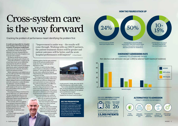**It would seem impossible for a hospital to be running at more than 100 per cent occupancy of emergency medical beds.**

But, in fact, this is the case at both Glasgow Royal Infirmary (GRI) and the Queen Elizabeth University Hospitals (QEUH)... and at the Royal Alexandra Hospital, it runs at 97.5 per cent occupancy.

The ideal we should aim for to ensure resilience and capacity peaks is 85 per cent.

At the GRI and QEUH, occupancy levels of more than 100 per cent are achieved by using beds that should be for planned activity. The result is pressure on emergency departments, patient waiting time targets being missed and, ultimately, the need to cancel some planned activities.

Media commentators and, indeed, some of our own staff, speculate that we have simply got the bed model wrong.

Deputy medical director Dr David Stewart has been working with a wide range of clinical colleagues both in our acute hospitals and in the community to analyse the issues and ultimately "crack the problem".

His conclusion is that more beds and more staff is simply not the answer… bed numbers are not the problem at the root of our performance issues.

Presenting his findings to the Board, Dr Stewart delivered a very upbeat message: "We have identified that there is a very significant opportunity to improve our performance against national targets and deliver better care to patients.

"We currently admit more patients from emergency department (ED) to hospital beds than other comparable boards in Scotland. Even allowing for deprivation levels in our communities, the admission rates are very high.

"At first it might seem that our clinical teams are inappropriately

admitting patients. But the main conclusion is that our ED and acute medical teams simply don't have enough appropriate alternatives to offer.

"Improvement is under way – the results will come through. Working with our HSCP partners, the patient treatment choices will be greater and patient outcomes will be better, and the acute hospital performances will improve" Dr David Stewart

"In short, we need to develop a bigger menu of options as alternatives to hospital admission… and urgently deliver the aims of the 2020 vision outlined in the National Clinical Strategy for Scotland and the Health and Social Care Plan.

# Cross-system care is the way forward  $(24\%)$  ( $50\%$ ) ( $\frac{10}{15\%}$

"The integrated pilot project at the RAH in Paisley is delivering proof that collaboration with health and social care colleagues and acute unscheduled care teams at the front door of the hospital makes a real difference.

"We need to build on and fine-tune front-door triage and assessment models. We need to work with care homes to avoid unnecessary acute admissions. We need more alternatives to admissions and to help patients avoid unnecessary admission to hospital.

> **Frailty** screening

**Dedicated** assessment area



**Comprehensive** geriatric assessment



**Discharge** pathways – in/ out of hospital



"Cross-system primary care, social care and acute care is the only way we can

> deliver for our patients and improve our performance against the four-hour emergency department target to see, assess, treat and admit or discharge.

rounds protocols. A frailty pilot at the QEUH is also showing some really positive results.

"Now we have identified what needs to be done, we can accelerate the process to deliver the changes that will deliver for our patients and our performance targets."

Dr Stewart's mantra is: "No one in a hospital bed who doesn't need to be there."

Cracking the problem of performance meant identifying the problem first

### **SEE THE PRESENTATION**

The full detail of Dr Stewart's presentation is persuasive and hugely encouraging. Staff will be able to see him present the detail on an exclusive staff Webex to be broadcast later in August. Watch out for details in your Core Brief and StaffNet Hot Topics for the date and the details.

"Much of this work is already under way. We have exemplar wards in our hospitals driving up efficiencies in timely discharge, improved prescription regimes and new doctor Dr David Stewart

meet acute hospital criteria



wards DO NOT meet acute hospital criteria (many of these patients would require alternative provision for rehabilitation)

the elderly wards DO NOT meet acute hospital criteria

### **HOW THE FIGURES STACK UP**

## **EMERGENCY ADMISSIONS RATE**

COMPARED TO LOTHIAN AND TAYSIDE Non-elective crude admission rate (per 1,000) by selected health boards (of residence)



FOR EVERY **100 PEOPLE** ATTENDING THE EMERGENCY DEPARTMENT:



Based on NHSGGC admission numbers, this equates to admitting an additional

**13,000 PATIENTS** per year than NHS Lothian



### **ALTERNATIVES TO ADMISSION** FRAILTY SPECIFIC ED PATHWAYS



Joint working – role of IJBs

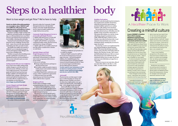# Steps to a healthier body

**Nearly two-thirds of the adult population are overweight or obese. NHSGGC staff are no different, with recent surveys suggesting nurses and healthcare workers may have even higher levels of obesity.** 

Keeping to a healthy weight or losing some weight has real health benefits. By losing just 5kg, you will immediately lower your blood pressure and cholesterol levels and improve your mobility, reducing aches and pains.

Staying focused and making the changes long term can be a challenge, but don't lose heart – many of us are in the same situation and helping each other can make it easier.

The health of our staff is a key priority to NHSGGC so we've introduced a range of services and support to help colleague who want to have a healthier body.

Whether your goal is about shedding excess pounds or getting into your jeans,we've introduced resources, services and links to help you stay motivated or give you some practical support.

#### **Getting started with your own weight loss**

If you want to lose weight, making small, realistic changes to your diet and level of physical exercise will help you kick-start your weight-loss journey. Our practical guide *Eat Well Feel Good Look Great Lose Weight*, available to download from the Healthier Body webpage, will help get you started and build the foundations for a successful, effective weight loss that you can maintain over the long term. **www.nhsggc.org.uk/healthyweight**

#### **Greater Glasgow and Clyde Weight Management Service**

Staff who are overweight and have diabetes, heart disease or a history of stroke can now self-refer to Glasgow and Clyde Weight Management Services by calling: 0141 211 3379 (Monday-Friday 8am-4pm) or by completing an online referral form. **www.nhsggc.org.uk/healthyweight**

On receipt of referral, individuals will be

directed to either the Community Weight Management Service or the Specialist Glasgow and Clyde Weight Management Service, based on health condition and weight. Both services are free.

#### *Community Weight Management Service in partnership with Weight Watchers*

**∫** eligible staff will be given 12 weeks full free membership to Weight Watchers **∫** eligible staff will follow a programme combining healthy eating, physical activity and behaviour change techniques **∫** eligible staff who successfully attend and lose 5kg will be considered for a further 12-week block.

#### *Specialist Glasgow and Clyde Weight Management Service*

**∫** following an initial assessment, individuals will participate in a lifestyle intervention programme delivered in a group setting

- **∫** the service will help:
- $\odot$  change eating behaviours and improve physical activity levels
- $\odot$  set realistic weight loss goals to improve health and give tools needed to maintain weight loss over time
- **∫** specialised liquid diets, medication and surgery will be considered as appropriate **∫** additional input from specialist

physiotherapy and clinical psychology will be offered where required.

#### **Weigh in @ Work**

Want to start a workplace weight management group with your colleagues? Weigh in at Work (WI@W) is a handy pack that provides useful topic information for you to run your own informal workplace weight management group.

The group can work through the pack's modules to help reach and sustain a healthy weight: BMI measurement, setting a realistic target, eating plans, becoming more active and tips for staying on track.

 "I attended the sessions at Cowlairs and I loved them. They were the best part of my week, being

Training is available for group leaders too – it couldn't be simpler!

Dedicated WI@W sessions for staff who are not part of a local group are run at our major acute sites – the Royal Hospital for Children, New Stobhill Hospital, New Victoria Hospital, Royal Alexandra Hospital, Garnavel General Hospital and QEUH. These are run by the Support and Information Services (SIS) and local volunteers. **To order a pack for your local group or to find out about our training sessions or the SIS sessions, email: healthyworkinglives@ggc. scot.nhs.uk or call 0141 201 4860.** 

#### **Activestaff**

Physical activity can help support weight loss, as well as boosting our energy and lifting our mood. Whether you want to de-stress, lose weight quicker, tone up or achieve your fitness goals, Activestaff can help – www.nhsggc.org.uk/activestaff

Activestaff offers a wide range of activities, ranging from walking challenges and football tournaments to free on-site classes for staff. From tai chi and yoga to Metafit and Fatburn Extreme, they aim to cater for all levels of fitness. You can also take advantage of discounted leisure membership for local authority facilities.



#### **Healthier food options**

NHSGGC is the first health board in Scotland to have implemented a Healthy Retail Policy, which has increased the opportunities to purchase healthier options in our vending machines, cafés, dining rooms and shops.

New products have been sourced, recipes have been altered and now all facilities meet the Healthy Living Award Plus criteria (HLA+). This means that whether you visit the Aroma café/dining, Souped Up and Juiced, Deco Coffee, Mabel McGinley's, Beatson Cancer Charity or any other hot food provider, 70 per cent of the food and drinks now meet the nutritional criteria, meaning they are lower in sugar, fat and salt.

Not only that, we have now implemented the new National Healthcare Retail Standard (HRS). This means that all shops and trolley services such as the RVS, WH Smith, Marks & Spencer, the Churches Tea Bar, Café Connect and Befriending Rendezvous Café now ensure that at least 50 per cent of all food meet the nutritional criteria: lower in sugar, fat and salt and 70 per cent of all drinks are sugar free or 0.5g/100ml.

Wherever you go on our acute sites, all 53 of our units either adhere to the HLA+ or the HRS… it's easier to make a healthy choice!



## Want to lose weight and get fitter? We're here to help

# Creating a mindful culture

**As part of NHSGGC's A Healthier Place to Work campaign, Mindfulness training has been helping our staff to reduce their stress levels and feel more resilient.**  Mindfulness Taster sessions and eight-week Mindfulness Based Stress Reduction (MBSR) Courses have been running since January 2016. More than 400 staff have attended a taster session and about 200 staff have benefited from the full course. More are planned across our hospital sites in the coming six months – keep an eye on StaffNet for more details. An external evaluation found that the courses helped in reducing the stress levels of participants and recommended the continuation of courses for staff, alongside a strategic approach that would encourage the organisation to develop a mindful culture. Some of our participants have commented: "I have changed my life since the course. I cope better with stressful situations and the issues that arise."

# $-61222-$ A Healthier Place to Work

able to have two hours (guilt free) of 'me' time and the opportunity to meet some amazing friendly people and learn a new skill. I would highly recommend the mindfulness sessions for anyone. I think even to have the knowledge that you as an individual have the ability to control your emotions and reactions has been a very valuable tool."

"I have a much healthier perspective on life and work and have found some confidence and belief in my ability and knowledge that I am doing a great job again– something I was always proud of a few years ago."

Mindfulness was added to the existing suite of activities to tackle stress at work including a Mental Health and Wellbeing Policy, Stress Risk Assessments, training for managers and training and awareness sessions for staff.

**Visit the Stress and Wellbeing page on HRConnect for more information: www.nhsggc.org.uk/ stressintheworkplace**